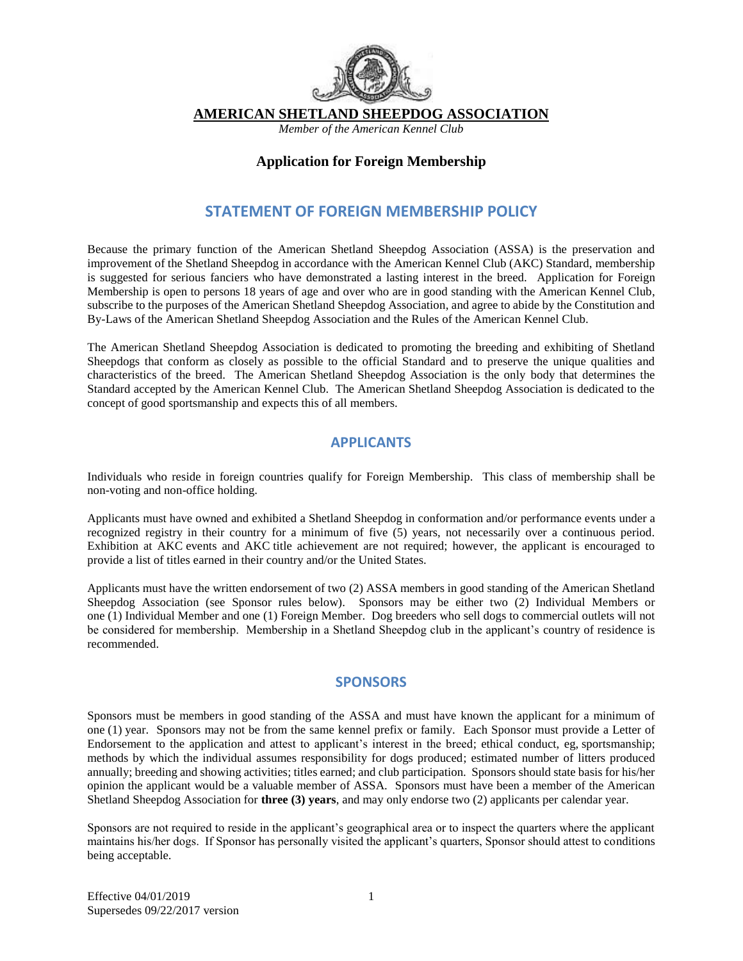

**AMERICAN SHETLAND SHEEPDOG ASSOCIATION** 

*Member of the American Kennel Club* 

#### **Application for Foreign Membership**

## **STATEMENT OF FOREIGN MEMBERSHIP POLICY**

Because the primary function of the American Shetland Sheepdog Association (ASSA) is the preservation and improvement of the Shetland Sheepdog in accordance with the American Kennel Club (AKC) Standard, membership is suggested for serious fanciers who have demonstrated a lasting interest in the breed. Application for Foreign Membership is open to persons 18 years of age and over who are in good standing with the American Kennel Club, subscribe to the purposes of the American Shetland Sheepdog Association, and agree to abide by the Constitution and By-Laws of the American Shetland Sheepdog Association and the Rules of the American Kennel Club.

The American Shetland Sheepdog Association is dedicated to promoting the breeding and exhibiting of Shetland Sheepdogs that conform as closely as possible to the official Standard and to preserve the unique qualities and characteristics of the breed. The American Shetland Sheepdog Association is the only body that determines the Standard accepted by the American Kennel Club. The American Shetland Sheepdog Association is dedicated to the concept of good sportsmanship and expects this of all members.

#### **APPLICANTS**

Individuals who reside in foreign countries qualify for Foreign Membership. This class of membership shall be non-voting and non-office holding.

Applicants must have owned and exhibited a Shetland Sheepdog in conformation and/or performance events under a recognized registry in their country for a minimum of five (5) years, not necessarily over a continuous period. Exhibition at AKC events and AKC title achievement are not required; however, the applicant is encouraged to provide a list of titles earned in their country and/or the United States.

Applicants must have the written endorsement of two (2) ASSA members in good standing of the American Shetland Sheepdog Association (see Sponsor rules below). Sponsors may be either two (2) Individual Members or one (1) Individual Member and one (1) Foreign Member. Dog breeders who sell dogs to commercial outlets will not be considered for membership. Membership in a Shetland Sheepdog club in the applicant's country of residence is recommended.

#### **SPONSORS**

Sponsors must be members in good standing of the ASSA and must have known the applicant for a minimum of one (1) year. Sponsors may not be from the same kennel prefix or family. Each Sponsor must provide a Letter of Endorsement to the application and attest to applicant's interest in the breed; ethical conduct, eg, sportsmanship; methods by which the individual assumes responsibility for dogs produced; estimated number of litters produced annually; breeding and showing activities; titles earned; and club participation. Sponsors should state basis for his/her opinion the applicant would be a valuable member of ASSA. Sponsors must have been a member of the American Shetland Sheepdog Association for **three (3) years**, and may only endorse two (2) applicants per calendar year.

Sponsors are not required to reside in the applicant's geographical area or to inspect the quarters where the applicant maintains his/her dogs. If Sponsor has personally visited the applicant's quarters, Sponsor should attest to conditions being acceptable.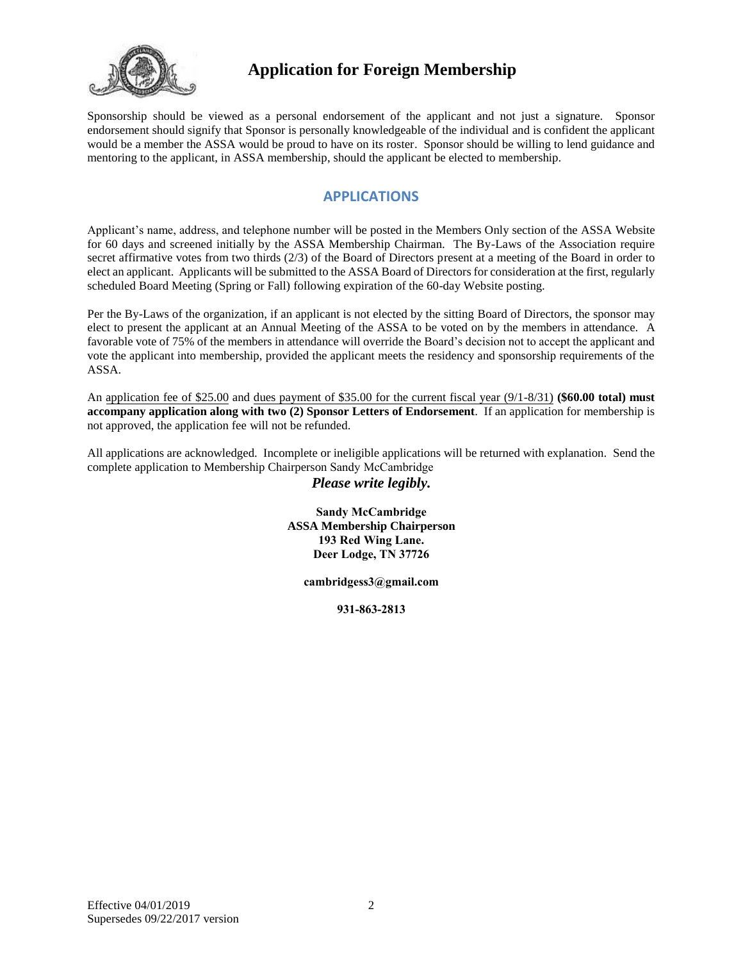

Sponsorship should be viewed as a personal endorsement of the applicant and not just a signature. Sponsor endorsement should signify that Sponsor is personally knowledgeable of the individual and is confident the applicant would be a member the ASSA would be proud to have on its roster. Sponsor should be willing to lend guidance and mentoring to the applicant, in ASSA membership, should the applicant be elected to membership.

## **APPLICATIONS**

Applicant's name, address, and telephone number will be posted in the Members Only section of the ASSA Website for 60 days and screened initially by the ASSA Membership Chairman. The By-Laws of the Association require secret affirmative votes from two thirds (2/3) of the Board of Directors present at a meeting of the Board in order to elect an applicant. Applicants will be submitted to the ASSA Board of Directors for consideration at the first, regularly scheduled Board Meeting (Spring or Fall) following expiration of the 60-day Website posting.

Per the By-Laws of the organization, if an applicant is not elected by the sitting Board of Directors, the sponsor may elect to present the applicant at an Annual Meeting of the ASSA to be voted on by the members in attendance. A favorable vote of 75% of the members in attendance will override the Board's decision not to accept the applicant and vote the applicant into membership, provided the applicant meets the residency and sponsorship requirements of the ASSA.

An application fee of \$25.00 and dues payment of \$35.00 for the current fiscal year (9/1-8/31) **(\$60.00 total) must accompany application along with two (2) Sponsor Letters of Endorsement**. If an application for membership is not approved, the application fee will not be refunded.

All applications are acknowledged. Incomplete or ineligible applications will be returned with explanation. Send the complete application to Membership Chairperson Sandy McCambridge

#### *Please write legibly.*

**Sandy McCambridge ASSA Membership Chairperson 193 Red Wing Lane. Deer Lodge, TN 37726**

**ca[mbridgess3@gmail.c](mailto:sheltie@mctag.com)om**

**931-863-2813**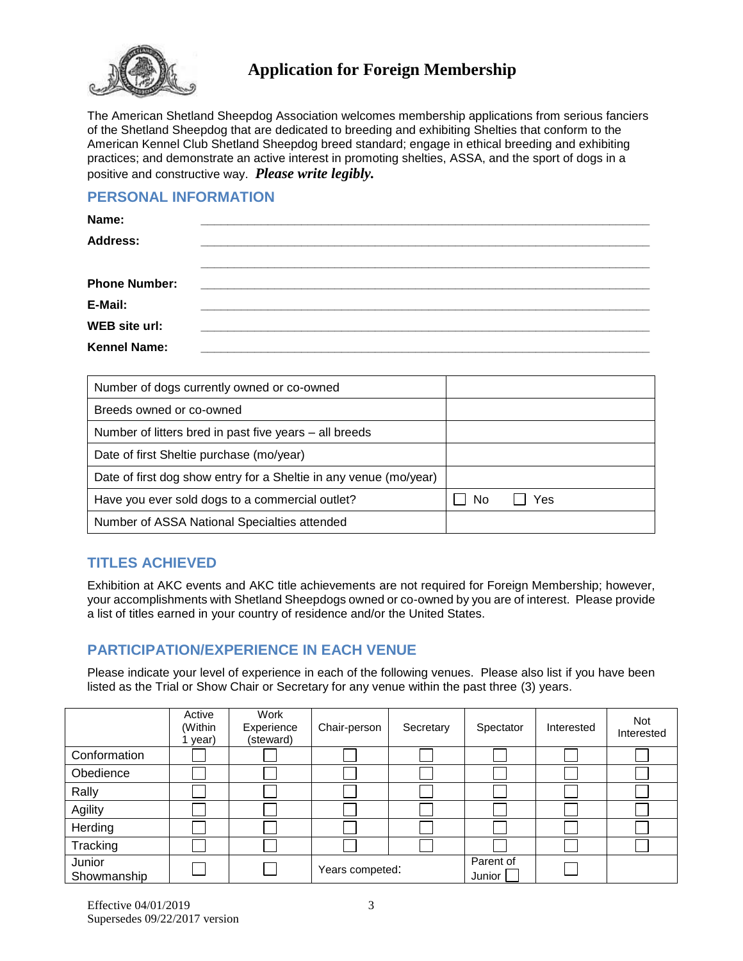

The American Shetland Sheepdog Association welcomes membership applications from serious fanciers of the Shetland Sheepdog that are dedicated to breeding and exhibiting Shelties that conform to the American Kennel Club Shetland Sheepdog breed standard; engage in ethical breeding and exhibiting practices; and demonstrate an active interest in promoting shelties, ASSA, and the sport of dogs in a positive and constructive way. *Please write legibly.*

### **PERSONAL INFORMATION**

| Name:                |  |  |
|----------------------|--|--|
| <b>Address:</b>      |  |  |
|                      |  |  |
| <b>Phone Number:</b> |  |  |
| E-Mail:              |  |  |
| WEB site url:        |  |  |
| <b>Kennel Name:</b>  |  |  |

| Number of dogs currently owned or co-owned                        |    |     |  |
|-------------------------------------------------------------------|----|-----|--|
| Breeds owned or co-owned                                          |    |     |  |
| Number of litters bred in past five years - all breeds            |    |     |  |
| Date of first Sheltie purchase (mo/year)                          |    |     |  |
| Date of first dog show entry for a Sheltie in any venue (mo/year) |    |     |  |
| Have you ever sold dogs to a commercial outlet?                   | No | Yes |  |
| Number of ASSA National Specialties attended                      |    |     |  |

## **TITLES ACHIEVED**

Exhibition at AKC events and AKC title achievements are not required for Foreign Membership; however, your accomplishments with Shetland Sheepdogs owned or co-owned by you are of interest. Please provide a list of titles earned in your country of residence and/or the United States.

# **PARTICIPATION/EXPERIENCE IN EACH VENUE**

Please indicate your level of experience in each of the following venues. Please also list if you have been listed as the Trial or Show Chair or Secretary for any venue within the past three (3) years.

|                       | Active<br>(Within<br>year) | Work<br>Experience<br>(steward) | Chair-person    | Secretary | Spectator           | Interested | <b>Not</b><br>Interested |
|-----------------------|----------------------------|---------------------------------|-----------------|-----------|---------------------|------------|--------------------------|
| Conformation          |                            |                                 |                 |           |                     |            |                          |
| Obedience             |                            |                                 |                 |           |                     |            |                          |
| Rally                 |                            |                                 |                 |           |                     |            |                          |
| Agility               |                            |                                 |                 |           |                     |            |                          |
| Herding               |                            |                                 |                 |           |                     |            |                          |
| Tracking              |                            |                                 |                 |           |                     |            |                          |
| Junior<br>Showmanship |                            |                                 | Years competed: |           | Parent of<br>Junior |            |                          |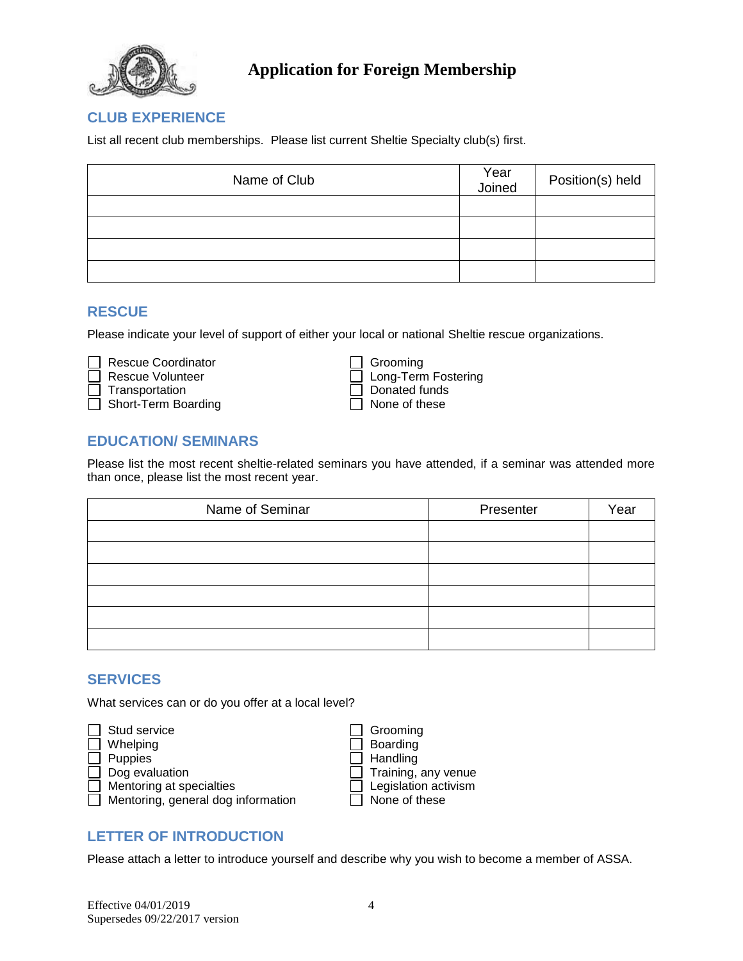

### **CLUB EXPERIENCE**

List all recent club memberships. Please list current Sheltie Specialty club(s) first.

| Name of Club | Year<br>Joined | Position(s) held |
|--------------|----------------|------------------|
|              |                |                  |
|              |                |                  |
|              |                |                  |
|              |                |                  |

#### **RESCUE**

Please indicate your level of support of either your local or national Sheltie rescue organizations.

 Rescue Coordinator Grooming □ Rescue Volunteer 
■ Long-Term Fostering<br>
T Transportation 
■ Long-Term Fostering □ Transportation<br>
T Short-Term Boarding<br>
D None of these  $\Box$  Short-Term Boarding

## **EDUCATION/ SEMINARS**

Please list the most recent sheltie-related seminars you have attended, if a seminar was attended more than once, please list the most recent year.

| Name of Seminar | Presenter | Year |
|-----------------|-----------|------|
|                 |           |      |
|                 |           |      |
|                 |           |      |
|                 |           |      |
|                 |           |      |
|                 |           |      |

#### **SERVICES**

What services can or do you offer at a local level?



## **LETTER OF INTRODUCTION**

Please attach a letter to introduce yourself and describe why you wish to become a member of ASSA.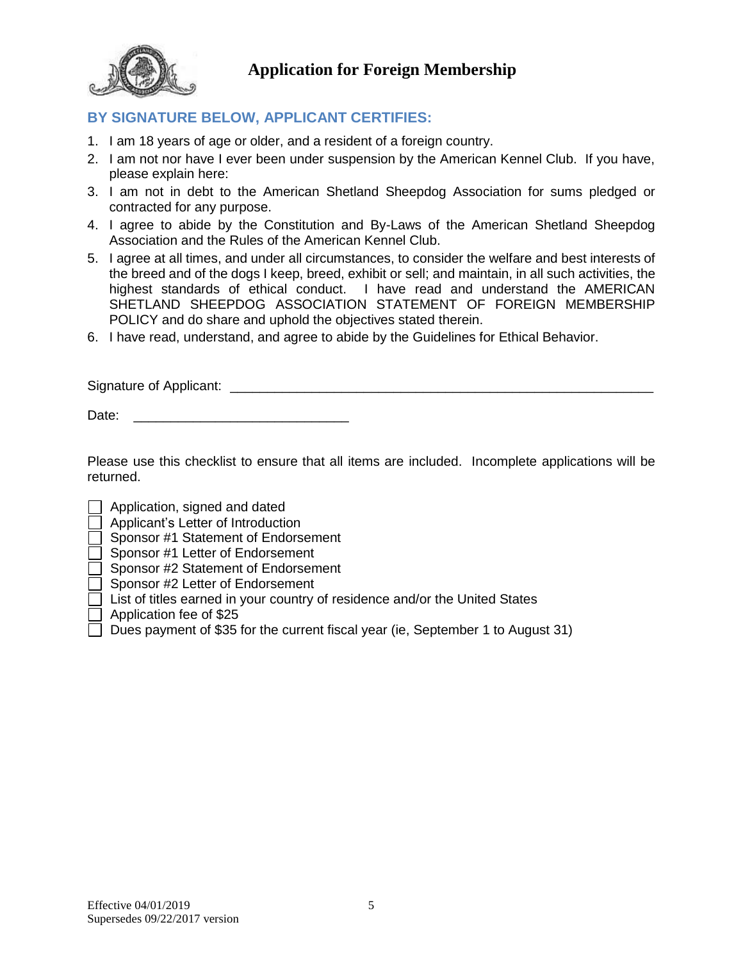

# **BY SIGNATURE BELOW, APPLICANT CERTIFIES:**

- 1. I am 18 years of age or older, and a resident of a foreign country.
- 2. I am not nor have I ever been under suspension by the American Kennel Club. If you have, please explain here:
- 3. I am not in debt to the American Shetland Sheepdog Association for sums pledged or contracted for any purpose.
- 4. I agree to abide by the Constitution and By-Laws of the American Shetland Sheepdog Association and the Rules of the American Kennel Club.
- 5. I agree at all times, and under all circumstances, to consider the welfare and best interests of the breed and of the dogs I keep, breed, exhibit or sell; and maintain, in all such activities, the highest standards of ethical conduct. I have read and understand the AMERICAN SHETLAND SHEEPDOG ASSOCIATION STATEMENT OF FOREIGN MEMBERSHIP POLICY and do share and uphold the objectives stated therein.
- 6. I have read, understand, and agree to abide by the Guidelines for Ethical Behavior.

Signature of Applicant: \_\_\_\_\_\_\_\_\_\_\_\_\_\_\_\_\_\_\_\_\_\_\_\_\_\_\_\_\_\_\_\_\_\_\_\_\_\_\_\_\_\_\_\_\_\_\_\_\_\_\_\_\_\_\_\_\_

Date:

Please use this checklist to ensure that all items are included. Incomplete applications will be returned.

- Application, signed and dated
- Applicant's Letter of Introduction
- Sponsor #1 Statement of Endorsement
- Sponsor #1 Letter of Endorsement
- Sponsor #2 Statement of Endorsement
- Sponsor #2 Letter of Endorsement
- List of titles earned in your country of residence and/or the United States
- Application fee of \$25
- Dues payment of \$35 for the current fiscal year (ie, September 1 to August 31)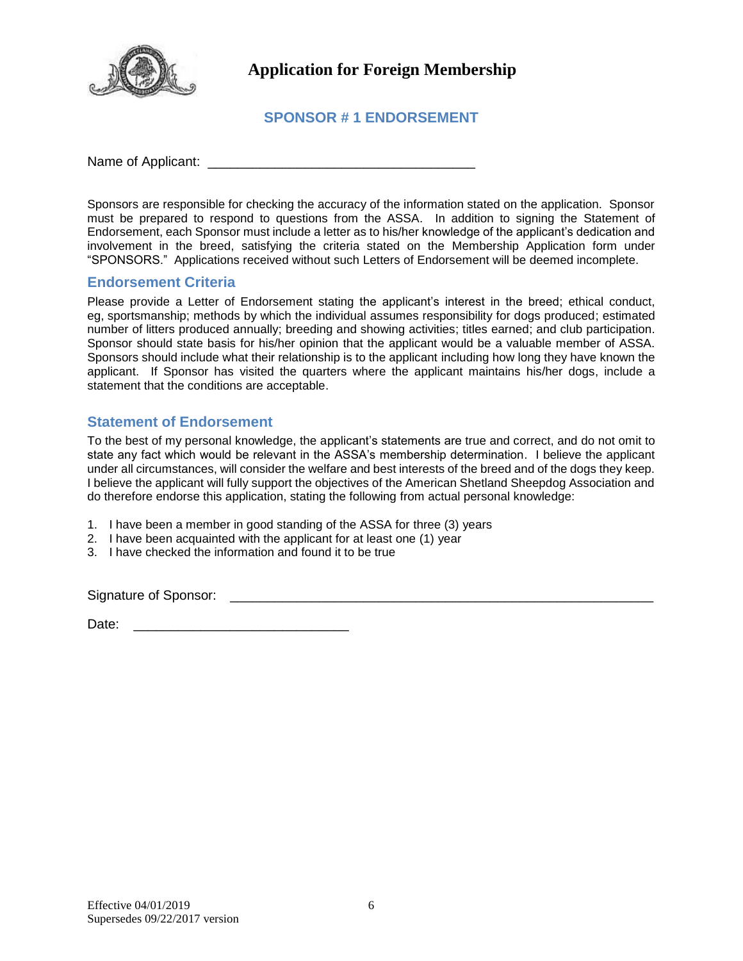

## **SPONSOR # 1 ENDORSEMENT**

Name of Applicant: \_\_\_\_\_\_\_\_\_\_\_\_\_\_\_\_\_\_\_\_\_\_\_\_\_\_\_\_\_\_\_\_\_\_\_\_

Sponsors are responsible for checking the accuracy of the information stated on the application. Sponsor must be prepared to respond to questions from the ASSA. In addition to signing the Statement of Endorsement, each Sponsor must include a letter as to his/her knowledge of the applicant's dedication and involvement in the breed, satisfying the criteria stated on the Membership Application form under "SPONSORS." Applications received without such Letters of Endorsement will be deemed incomplete.

#### **Endorsement Criteria**

Please provide a Letter of Endorsement stating the applicant's interest in the breed; ethical conduct, eg, sportsmanship; methods by which the individual assumes responsibility for dogs produced; estimated number of litters produced annually; breeding and showing activities; titles earned; and club participation. Sponsor should state basis for his/her opinion that the applicant would be a valuable member of ASSA. Sponsors should include what their relationship is to the applicant including how long they have known the applicant. If Sponsor has visited the quarters where the applicant maintains his/her dogs, include a statement that the conditions are acceptable.

#### **Statement of Endorsement**

To the best of my personal knowledge, the applicant's statements are true and correct, and do not omit to state any fact which would be relevant in the ASSA's membership determination. I believe the applicant under all circumstances, will consider the welfare and best interests of the breed and of the dogs they keep. I believe the applicant will fully support the objectives of the American Shetland Sheepdog Association and do therefore endorse this application, stating the following from actual personal knowledge:

- 1. I have been a member in good standing of the ASSA for three (3) years
- 2. I have been acquainted with the applicant for at least one (1) year
- 3. I have checked the information and found it to be true

Signature of Sponsor: \_\_\_\_\_\_\_\_\_\_\_\_\_\_\_\_\_\_\_\_\_\_\_\_\_\_\_\_\_\_\_\_\_\_\_\_\_\_\_\_\_\_\_\_\_\_\_\_\_\_\_\_\_\_\_\_\_

Date: \_\_\_\_\_\_\_\_\_\_\_\_\_\_\_\_\_\_\_\_\_\_\_\_\_\_\_\_\_